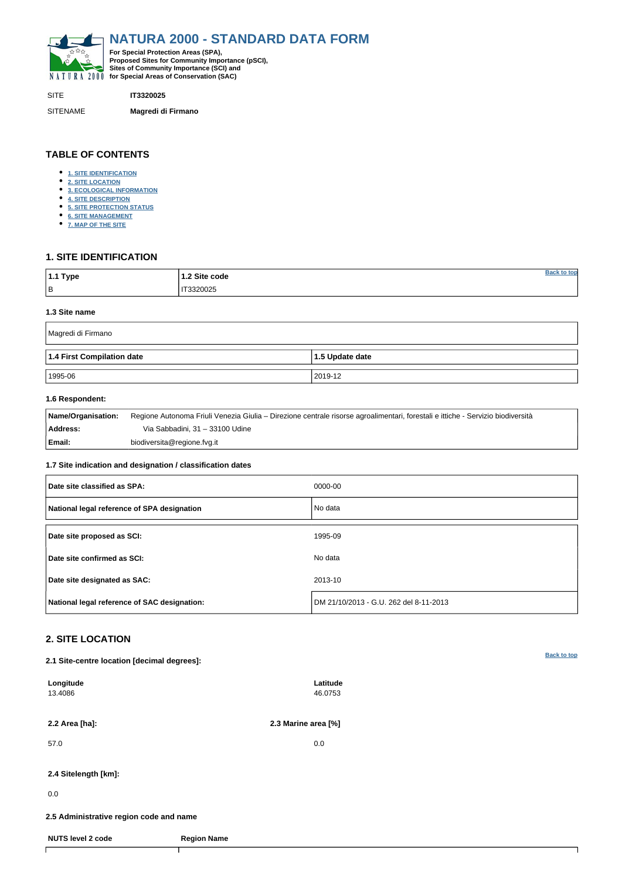<span id="page-0-0"></span>

SITE **IT3320025**

SITENAME **Magredi di Firmano**

| 1.1 Type  | 1.2 Site code  | ton |
|-----------|----------------|-----|
| $\vert$ B | IT3320025<br>. |     |

# **TABLE OF CONTENTS**

- **[1. SITE IDENTIFICATION](#page-0-1)**
- **[2. SITE LOCATION](#page-0-2)**
- **[3. ECOLOGICAL INFORMATION](#page-1-0)**
- **[4. SITE DESCRIPTION](#page-2-0)**
- **[5. SITE PROTECTION STATUS](#page-3-0)**
- **[6. SITE MANAGEMENT](#page-3-1)**
- **[7. MAP OF THE SITE](#page-3-2)**

# <span id="page-0-1"></span>**1. SITE IDENTIFICATION**

#### **1.3 Site name**

| Magredi di Firmano         |                         |  |  |  |  |  |
|----------------------------|-------------------------|--|--|--|--|--|
| 1.4 First Compilation date | $\vert$ 1.5 Update date |  |  |  |  |  |
| 1995-06                    | 2019-12                 |  |  |  |  |  |

## **1.6 Respondent:**

| <b>Name/Organisation:</b> | Regione Autonoma Friuli Venezia Giulia – Direzione centrale risorse agroalimentari, forestali e ittiche - Servizio biodiversità |
|---------------------------|---------------------------------------------------------------------------------------------------------------------------------|
| <b>Address:</b>           | Via Sabbadini, 31 – 33100 Udine                                                                                                 |
| Email:                    | biodiversita@regione.fvg.it                                                                                                     |

### **1.7 Site indication and designation / classification dates**

| Date site classified as SPA:                 | 0000-00                                |
|----------------------------------------------|----------------------------------------|
| National legal reference of SPA designation  | No data                                |
| Date site proposed as SCI:                   | 1995-09                                |
| Date site confirmed as SCI:                  | No data                                |
| Date site designated as SAC:                 | 2013-10                                |
| National legal reference of SAC designation: | DM 21/10/2013 - G.U. 262 del 8-11-2013 |

# <span id="page-0-2"></span>**2. SITE LOCATION**

**2.1 Site-centre location [decimal degrees]:**

| 2.2 Area [ha]:<br>57.0<br>2.4 Sitelength [km]:<br>0.0<br>2.5 Administrative region code and name | Latitude<br>46.0753 |  |
|--------------------------------------------------------------------------------------------------|---------------------|--|
|                                                                                                  | 2.3 Marine area [%] |  |
|                                                                                                  | 0.0                 |  |
|                                                                                                  |                     |  |
|                                                                                                  |                     |  |
|                                                                                                  |                     |  |
| <b>NUTS level 2 code</b><br><b>Region Name</b>                                                   |                     |  |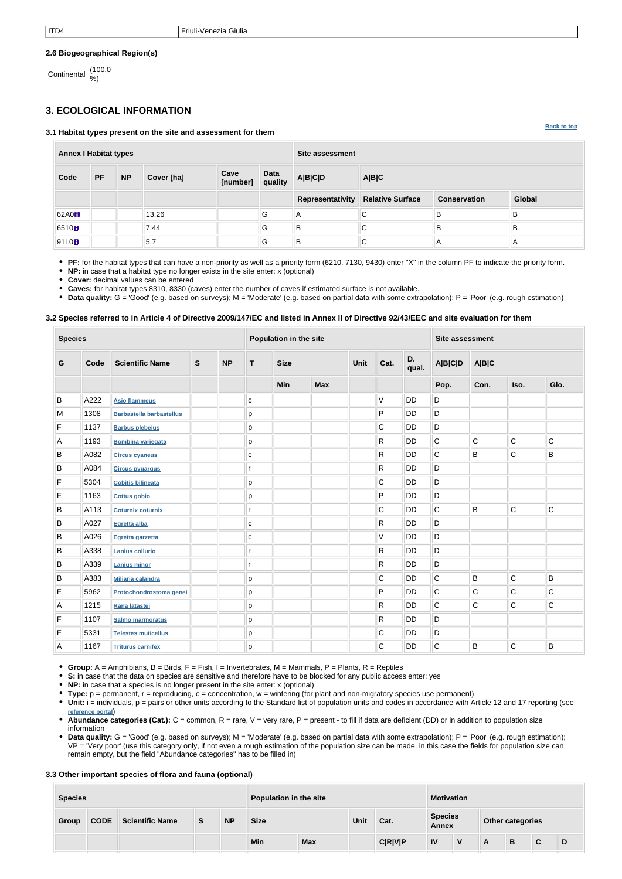**[Back to top](#page-0-0)**

### **2.6 Biogeographical Region(s)**

Continental (100.0 %)

# <span id="page-1-0"></span>**3. ECOLOGICAL INFORMATION**

**3.1 Habitat types present on the site and assessment for them**

**Annex I Habitat types Site assessment Code PF NP Cover [ha] Cave [number] Data quality A|B|C|D A|B|C Representativity Relative Surface Conservation Global** 62A0 **8** N 3.26 B B B B B B 6510 **B** B B B B B B B B 91L0 5.7 G B C A A

**PF:** for the habitat types that can have a non-priority as well as a priority form (6210, 7130, 9430) enter "X" in the column PF to indicate the priority form.

**NP:** in case that a habitat type no longer exists in the site enter: x (optional)

**Cover:** decimal values can be entered

**Caves:** for habitat types 8310, 8330 (caves) enter the number of caves if estimated surface is not available.

• Data quality: G = 'Good' (e.g. based on surveys); M = 'Moderate' (e.g. based on partial data with some extrapolation); P = 'Poor' (e.g. rough estimation)

### **3.2 Species referred to in Article 4 of Directive 2009/147/EC and listed in Annex II of Directive 92/43/EEC and site evaluation for them**

| <b>Species</b> |      |                                 |             | <b>Population in the site</b> |              |             |            |  |   | <b>Site assessment</b> |             |             |                |              |  |  |
|----------------|------|---------------------------------|-------------|-------------------------------|--------------|-------------|------------|--|---|------------------------|-------------|-------------|----------------|--------------|--|--|
| $\mathbf G$    | Code | <b>Scientific Name</b>          | $\mathbf s$ | <b>NP</b>                     | T.           | <b>Size</b> |            |  |   | Unit                   | Cat.        | D.<br>qual. | <b>A B C D</b> | A B C        |  |  |
|                |      |                                 |             |                               |              | <b>Min</b>  | <b>Max</b> |  |   |                        | Pop.        | Con.        | Iso.           | Glo.         |  |  |
| B              | A222 | <b>Asio flammeus</b>            |             |                               | ${\bf C}$    |             |            |  | V | <b>DD</b>              | D           |             |                |              |  |  |
| M              | 1308 | <b>Barbastella barbastellus</b> |             |                               | p            |             |            |  | P | DD                     | $\mathsf D$ |             |                |              |  |  |
| F              | 1137 | <b>Barbus plebejus</b>          |             |                               | р            |             |            |  | С | <b>DD</b>              | D           |             |                |              |  |  |
| Α              | 1193 | <b>Bombina variegata</b>        |             |                               | p            |             |            |  | R | <b>DD</b>              | C           | C           | $\mathsf C$    | $\mathsf C$  |  |  |
| B              | A082 | <b>Circus cyaneus</b>           |             |                               | $\mathbf{C}$ |             |            |  | R | <b>DD</b>              | $\mathsf C$ | B           | $\mathsf C$    | B            |  |  |
| B              | A084 | <b>Circus pygargus</b>          |             |                               | r            |             |            |  | R | <b>DD</b>              | $\mathsf D$ |             |                |              |  |  |
| F              | 5304 | <b>Cobitis bilineata</b>        |             |                               | p            |             |            |  | C | DD                     | $\mathsf D$ |             |                |              |  |  |
| F              | 1163 | <b>Cottus gobio</b>             |             |                               | р            |             |            |  | P | <b>DD</b>              | D           |             |                |              |  |  |
| $\sf B$        | A113 | <b>Coturnix coturnix</b>        |             |                               | r            |             |            |  | C | <b>DD</b>              | C           | B           | $\mathsf C$    | $\mathsf C$  |  |  |
| B              | A027 | Egretta alba                    |             |                               | $\mathbf{C}$ |             |            |  | R | <b>DD</b>              | D           |             |                |              |  |  |
| B              | A026 | Egretta garzetta                |             |                               | $\mathbf{C}$ |             |            |  | V | <b>DD</b>              | $\mathsf D$ |             |                |              |  |  |
| $\sf B$        | A338 | Lanius collurio                 |             |                               | r            |             |            |  | R | DD                     | $\mathsf D$ |             |                |              |  |  |
| B              | A339 | <b>Lanius minor</b>             |             |                               | r            |             |            |  | R | DD                     | D           |             |                |              |  |  |
| $\sf B$        | A383 | <b>Miliaria calandra</b>        |             |                               | p            |             |            |  | C | <b>DD</b>              | C           | B           | $\mathsf C$    | B            |  |  |
| F              | 5962 | Protochondrostoma genei         |             |                               | р            |             |            |  | P | <b>DD</b>              | C           | C           | $\mathsf C$    | $\mathsf C$  |  |  |
| A              | 1215 | Rana latastei                   |             |                               | p            |             |            |  | R | DD                     | $\mathsf C$ | C           | $\mathsf C$    | $\mathsf{C}$ |  |  |
| $\mathsf F$    | 1107 | <b>Salmo marmoratus</b>         |             |                               | p            |             |            |  | R | DD                     | $\mathsf D$ |             |                |              |  |  |
| F              | 5331 | <b>Telestes muticellus</b>      |             |                               | р            |             |            |  | C | DD                     | $\mathsf D$ |             |                |              |  |  |
| A              | 1167 | <b>Triturus carnifex</b>        |             |                               | p            |             |            |  | C | <b>DD</b>              | C           | B           | $\mathsf C$    | B            |  |  |

- **Group:** A = Amphibians, B = Birds, F = Fish, I = Invertebrates, M = Mammals, P = Plants, R = Reptiles
- **S:** in case that the data on species are sensitive and therefore have to be blocked for any public access enter: yes
- **NP:** in case that a species is no longer present in the site enter: x (optional)
- **Type:** p = permanent, r = reproducing, c = concentration, w = wintering (for plant and non-migratory species use permanent)
- Unit: i = individuals, p = pairs or other units according to the Standard list of population units and codes in accordance with Article 12 and 17 reporting (see **[reference portal](http://bd.eionet.europa.eu/activities/Natura_2000/reference_portal)**)
- Abundance categories (Cat.): C = common, R = rare, V = very rare, P = present to fill if data are deficient (DD) or in addition to population size information
- Data quality: G = 'Good' (e.g. based on surveys); M = 'Moderate' (e.g. based on partial data with some extrapolation); P = 'Poor' (e.g. rough estimation); VP = 'Very poor' (use this category only, if not even a rough estimation of the population size can be made, in this case the fields for population size can remain empty, but the field "Abundance categories" has to be filled in)

### **3.3 Other important species of flora and fauna (optional)**

| <b>Species</b> |             |                        |          |           | Population in the site |            |             |                | <b>Motivation</b>              |  |                         |   |   |   |
|----------------|-------------|------------------------|----------|-----------|------------------------|------------|-------------|----------------|--------------------------------|--|-------------------------|---|---|---|
| Group          | <b>CODE</b> | <b>Scientific Name</b> | <b>S</b> | <b>NP</b> | <b>Size</b>            |            | <b>Unit</b> | Cat.           | <b>Species</b><br><b>Annex</b> |  | <b>Other categories</b> |   |   |   |
|                |             |                        |          |           | Min                    | <b>Max</b> |             | <b>C R V P</b> | IV                             |  | A                       | B | С | D |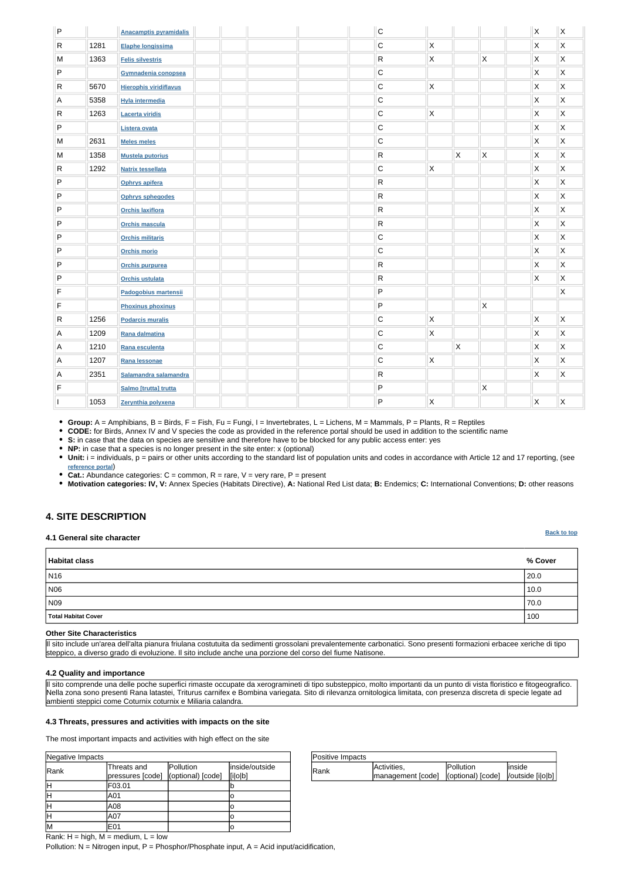| Positive Impacts |                                                           |                   |         |
|------------------|-----------------------------------------------------------|-------------------|---------|
|                  | Activities,                                               | <b>IPollution</b> | linside |
| IRank            | management [code]   (optional) [code]   / outside [i o b] |                   |         |

| Negative Impacts |                                 |                                |                           |
|------------------|---------------------------------|--------------------------------|---------------------------|
| Rank             | Threats and<br>pressures [code] | Pollution<br>(optional) [code] | inside/outside<br>[i o b] |
|                  | F03.01                          |                                |                           |
|                  | A01                             |                                |                           |
|                  | A08                             |                                | ю                         |
|                  | A07                             |                                | Ю                         |
| lМ               | E01                             |                                | ΙO                        |

**[Back to top](#page-0-0)**

Rank:  $H = high$ ,  $M = medium$ ,  $L = low$ 

Pollution:  $N = N$ itrogen input, P = Phosphor/Phosphate input, A = Acid input/acidification,

| ${\sf P}$    |      | <b>Anacamptis pyramidalis</b> |  |  | $\mathsf C$  |                         |                         |                | X | $\mathsf{\overline{x}}$ |
|--------------|------|-------------------------------|--|--|--------------|-------------------------|-------------------------|----------------|---|-------------------------|
| $\mathsf{R}$ | 1281 | Elaphe longissima             |  |  | C            | $\mathsf{\chi}$         |                         |                | Χ | $\mathsf{\overline{X}}$ |
| M            | 1363 | <b>Felis silvestris</b>       |  |  | R            | X                       |                         | $\mathsf X$    | Χ | $\mathsf{\overline{X}}$ |
| $\sf P$      |      | Gymnadenia conopsea           |  |  | $\mathsf C$  |                         |                         |                | X | $\mathsf X$             |
| ${\sf R}$    | 5670 | <b>Hierophis viridiflavus</b> |  |  | $\mathsf C$  | $\mathsf{X}$            |                         |                | X | $\mathsf{\overline{X}}$ |
| A            | 5358 | <b>Hyla intermedia</b>        |  |  | $\mathsf C$  |                         |                         |                | X | $\mathsf X$             |
| ${\sf R}$    | 1263 | <b>Lacerta viridis</b>        |  |  | $\mathsf C$  | Χ                       |                         |                | X | $\mathsf{\overline{X}}$ |
| $\sf P$      |      | Listera ovata                 |  |  | $\mathsf C$  |                         |                         |                | Χ | $\mathsf{\overline{X}}$ |
| M            | 2631 | <b>Meles meles</b>            |  |  | $\mathsf C$  |                         |                         |                | X | $\mathsf X$             |
| M            | 1358 | <b>Mustela putorius</b>       |  |  | $\mathsf{R}$ |                         | X.                      | $\mathsf{X}$   | Χ | $\mathsf{X}$            |
| $\mathsf{R}$ | 1292 | <b>Natrix tessellata</b>      |  |  | $\mathsf C$  | $\mathsf{\overline{X}}$ |                         |                | Χ | $\mathsf{\overline{X}}$ |
| ${\sf P}$    |      | Ophrys apifera                |  |  | R            |                         |                         |                | Χ | $\mathsf X$             |
| P            |      | <b>Ophrys sphegodes</b>       |  |  | R            |                         |                         |                | X | $\mathsf{\overline{X}}$ |
| $\mathsf{P}$ |      | <b>Orchis laxiflora</b>       |  |  | R            |                         |                         |                | X | $\mathsf{\overline{X}}$ |
| $\mathsf{P}$ |      | <b>Orchis mascula</b>         |  |  | R            |                         |                         |                | X | $\mathsf X$             |
| $\mathsf{P}$ |      | <b>Orchis militaris</b>       |  |  | $\mathsf C$  |                         |                         |                | X | $\mathsf{\overline{X}}$ |
| $\mathsf{P}$ |      | <b>Orchis morio</b>           |  |  | $\mathsf C$  |                         |                         |                | X | $\mathsf{\overline{X}}$ |
| $\mathsf{P}$ |      | <b>Orchis purpurea</b>        |  |  | R            |                         |                         |                | X | $\mathsf{\overline{X}}$ |
| ${\sf P}$    |      | <b>Orchis ustulata</b>        |  |  | $\mathsf{R}$ |                         |                         |                | Χ | $\mathsf{\overline{X}}$ |
| $\mathsf F$  |      | Padogobius martensii          |  |  | P            |                         |                         |                |   | $\mathsf{\overline{X}}$ |
| F            |      | <b>Phoxinus phoxinus</b>      |  |  | P            |                         |                         | $\mathsf X$    |   |                         |
| $\mathsf{R}$ | 1256 | <b>Podarcis muralis</b>       |  |  | $\mathsf C$  | X                       |                         |                | X | $\mathsf{\overline{X}}$ |
| Α            | 1209 | Rana dalmatina                |  |  | $\mathsf C$  | $\mathsf{X}$            |                         |                | X | $\mathsf{\overline{X}}$ |
| $\mathsf A$  | 1210 | Rana esculenta                |  |  | C            |                         | $\mathsf{\overline{X}}$ |                | X | $\mathsf{\overline{X}}$ |
| A            | 1207 | Rana lessonae                 |  |  | $\mathsf C$  | Χ                       |                         |                | X | $\mathsf{\overline{X}}$ |
| A            | 2351 | Salamandra salamandra         |  |  | R            |                         |                         |                | X | $\mathsf{\overline{X}}$ |
| F            |      | Salmo [trutta] trutta         |  |  | P            |                         |                         | $\pmb{\times}$ |   |                         |
| I            | 1053 | Zerynthia polyxena            |  |  | P            | X                       |                         |                | X | $\mathsf{\overline{X}}$ |

• Unit: i = individuals, p = pairs or other units according to the standard list of population units and codes in accordance with Article 12 and 17 reporting, (see **[reference portal](http://bd.eionet.europa.eu/activities/Natura_2000/reference_portal)**)

**Group:** A = Amphibians, B = Birds, F = Fish, Fu = Fungi, I = Invertebrates, L = Lichens, M = Mammals, P = Plants, R = Reptiles

**CODE:** for Birds, Annex IV and V species the code as provided in the reference portal should be used in addition to the scientific name

**S:** in case that the data on species are sensitive and therefore have to be blocked for any public access enter: yes

• **NP:** in case that a species is no longer present in the site enter: x (optional)

**Cat.:** Abundance categories: C = common, R = rare, V = very rare, P = present

**Motivation categories: IV, V:** Annex Species (Habitats Directive), **A:** National Red List data; **B:** Endemics; **C:** International Conventions; **D:** other reasons

## <span id="page-2-0"></span>**4. SITE DESCRIPTION**

#### **4.1 General site character**

| Habitat class       | % Cover |
|---------------------|---------|
| N <sub>16</sub>     | 20.0    |
| N06                 | 10.0    |
| N09                 | 70.0    |
| Total Habitat Cover | 100     |

#### **Other Site Characteristics**

Il sito include un'area dell'alta pianura friulana costutuita da sedimenti grossolani prevalentemente carbonatici. Sono presenti formazioni erbacee xeriche di tipo steppico, a diverso grado di evoluzione. Il sito include anche una porzione del corso del fiume Natisone.

### **4.2 Quality and importance**

Il sito comprende una delle poche superfici rimaste occupate da xerogramineti di tipo substeppico, molto importanti da un punto di vista floristico e fitogeografico. Nella zona sono presenti Rana latastei, Triturus carnifex e Bombina variegata. Sito di rilevanza ornitologica limitata, con presenza discreta di specie legate ad ambienti steppici come Coturnix coturnix e Miliaria calandra.

#### **4.3 Threats, pressures and activities with impacts on the site**

The most important impacts and activities with high effect on the site